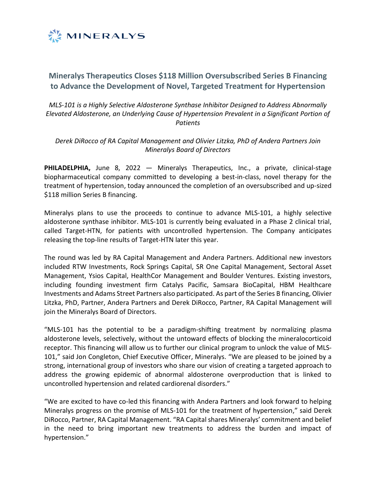

# **Mineralys Therapeutics Closes \$118 Million Oversubscribed Series B Financing to Advance the Development of Novel, Targeted Treatment for Hypertension**

*MLS-101 is a Highly Selective Aldosterone Synthase Inhibitor Designed to Address Abnormally Elevated Aldosterone, an Underlying Cause of Hypertension Prevalent in a Significant Portion of Patients*

*Derek DiRocco of RA Capital Management and Olivier Litzka, PhD of Andera Partners Join Mineralys Board of Directors*

**PHILADELPHIA,** June 8, 2022 — Mineralys Therapeutics, Inc., a private, clinical-stage biopharmaceutical company committed to developing a best-in-class, novel therapy for the treatment of hypertension, today announced the completion of an oversubscribed and up-sized \$118 million Series B financing.

Mineralys plans to use the proceeds to continue to advance MLS-101, a highly selective aldosterone synthase inhibitor. MLS-101 is currently being evaluated in a Phase 2 clinical trial, called Target-HTN, for patients with uncontrolled hypertension. The Company anticipates releasing the top-line results of Target-HTN later this year.

The round was led by RA Capital Management and Andera Partners. Additional new investors included RTW Investments, Rock Springs Capital, SR One Capital Management, Sectoral Asset Management, Ysios Capital, HealthCor Management and Boulder Ventures. Existing investors, including founding investment firm Catalys Pacific, Samsara BioCapital, HBM Healthcare Investments and Adams Street Partners also participated. As part of the Series B financing, Olivier Litzka, PhD, Partner, Andera Partners and Derek DiRocco, Partner, RA Capital Management will join the Mineralys Board of Directors.

"MLS-101 has the potential to be a paradigm-shifting treatment by normalizing plasma aldosterone levels, selectively, without the untoward effects of blocking the mineralocorticoid receptor. This financing will allow us to further our clinical program to unlock the value of MLS-101," said Jon Congleton, Chief Executive Officer, Mineralys. "We are pleased to be joined by a strong, international group of investors who share our vision of creating a targeted approach to address the growing epidemic of abnormal aldosterone overproduction that is linked to uncontrolled hypertension and related cardiorenal disorders."

"We are excited to have co-led this financing with Andera Partners and look forward to helping Mineralys progress on the promise of MLS-101 for the treatment of hypertension," said Derek DiRocco, Partner, RA Capital Management. "RA Capital shares Mineralys' commitment and belief in the need to bring important new treatments to address the burden and impact of hypertension."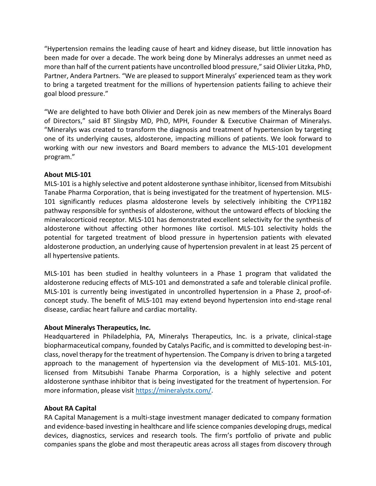"Hypertension remains the leading cause of heart and kidney disease, but little innovation has been made for over a decade. The work being done by Mineralys addresses an unmet need as more than half of the current patients have uncontrolled blood pressure," said Olivier Litzka, PhD, Partner, Andera Partners. "We are pleased to support Mineralys' experienced team as they work to bring a targeted treatment for the millions of hypertension patients failing to achieve their goal blood pressure."

"We are delighted to have both Olivier and Derek join as new members of the Mineralys Board of Directors," said BT Slingsby MD, PhD, MPH, Founder & Executive Chairman of Mineralys. "Mineralys was created to transform the diagnosis and treatment of hypertension by targeting one of its underlying causes, aldosterone, impacting millions of patients. We look forward to working with our new investors and Board members to advance the MLS-101 development program."

#### **About MLS-101**

MLS-101 is a highly selective and potent aldosterone synthase inhibitor, licensed from Mitsubishi Tanabe Pharma Corporation, that is being investigated for the treatment of hypertension. MLS-101 significantly reduces plasma aldosterone levels by selectively inhibiting the CYP11B2 pathway responsible for synthesis of aldosterone, without the untoward effects of blocking the mineralocorticoid receptor. MLS-101 has demonstrated excellent selectivity for the synthesis of aldosterone without affecting other hormones like cortisol. MLS-101 selectivity holds the potential for targeted treatment of blood pressure in hypertension patients with elevated aldosterone production, an underlying cause of hypertension prevalent in at least 25 percent of all hypertensive patients.

MLS-101 has been studied in healthy volunteers in a Phase 1 program that validated the aldosterone reducing effects of MLS-101 and demonstrated a safe and tolerable clinical profile. MLS-101 is currently being investigated in uncontrolled hypertension in a Phase 2, proof-ofconcept study. The benefit of MLS-101 may extend beyond hypertension into end-stage renal disease, cardiac heart failure and cardiac mortality.

## **About Mineralys Therapeutics, Inc.**

Headquartered in Philadelphia, PA, Mineralys Therapeutics, Inc. is a private, clinical-stage biopharmaceutical company, founded by Catalys Pacific, and is committed to developing best-inclass, novel therapy for the treatment of hypertension. The Company is driven to bring a targeted approach to the management of hypertension via the development of MLS-101. MLS-101, licensed from Mitsubishi Tanabe Pharma Corporation, is a highly selective and potent aldosterone synthase inhibitor that is being investigated for the treatment of hypertension. For more information, please visit [https://mineralystx.com/.](https://mineralystx.com/)

## **About RA Capital**

RA Capital Management is a multi-stage investment manager dedicated to company formation and evidence-based investing in healthcare and life science companies developing drugs, medical devices, diagnostics, services and research tools. The firm's portfolio of private and public companies spans the globe and most therapeutic areas across all stages from discovery through